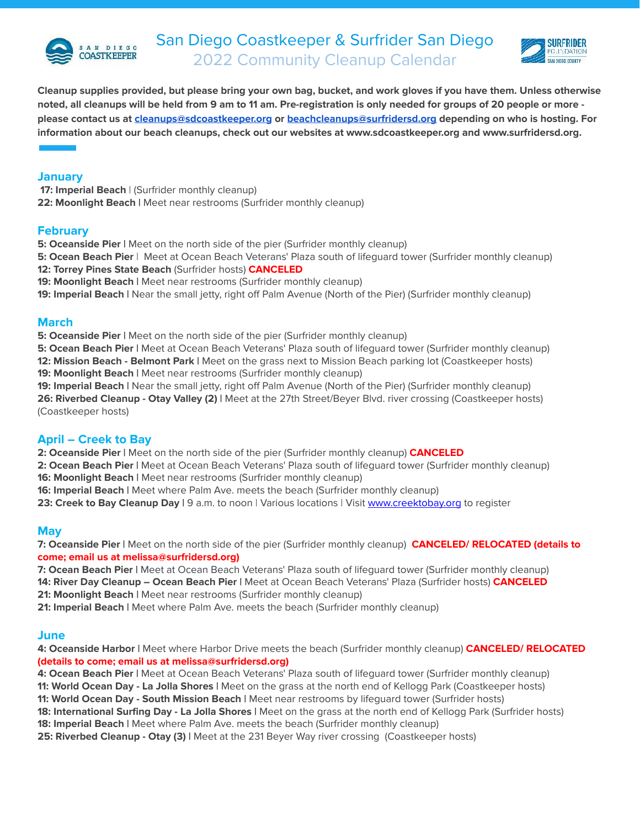



**Cleanup supplies provided, but please bring your own bag, bucket, and work gloves if you have them. Unless otherwise noted, all cleanups will be held from 9 am to 11 am. Pre-registration is only needed for groups of 20 people or more please contact us at [cleanups@sdcoastkeeper.org](mailto:cleanups@sdcoastkeeper.org) or [beachcleanups@surfridersd.org](mailto:beachcleanups@surfridersd.org) depending on who is hosting. For information about our beach cleanups, check out our websites at www.sdcoastkeeper.org and www.surfridersd.org.**

## **January**

**17: Imperial Beach** | (Surfrider monthly cleanup) **22: Moonlight Beach |** Meet near restrooms (Surfrider monthly cleanup)

### **February**

- **5: Oceanside Pier |** Meet on the north side of the pier (Surfrider monthly cleanup)
- **5: Ocean Beach Pier** | Meet at Ocean Beach Veterans' Plaza south of lifeguard tower (Surfrider monthly cleanup) **12: Torrey Pines State Beach** (Surfrider hosts) **CANCELED**
- **19: Moonlight Beach |** Meet near restrooms (Surfrider monthly cleanup)
- **19: Imperial Beach |** Near the small jetty, right off Palm Avenue (North of the Pier) (Surfrider monthly cleanup)

### **March**

- **5: Oceanside Pier |** Meet on the north side of the pier (Surfrider monthly cleanup)
- **5: Ocean Beach Pier |** Meet at Ocean Beach Veterans' Plaza south of lifeguard tower (Surfrider monthly cleanup)
- **12: Mission Beach Belmont Park |** Meet on the grass next to Mission Beach parking lot (Coastkeeper hosts) **19: Moonlight Beach |** Meet near restrooms (Surfrider monthly cleanup)
- **19: Imperial Beach |** Near the small jetty, right off Palm Avenue (North of the Pier) (Surfrider monthly cleanup) **26: Riverbed Cleanup - Otay Valley (2) |** Meet at the 27th Street/Beyer Blvd. river crossing (Coastkeeper hosts) (Coastkeeper hosts)

# **April – Creek to Bay**

- **2: Oceanside Pier |** Meet on the north side of the pier (Surfrider monthly cleanup) **CANCELED**
- **2: Ocean Beach Pier |** Meet at Ocean Beach Veterans' Plaza south of lifeguard tower (Surfrider monthly cleanup)
- **16: Moonlight Beach |** Meet near restrooms (Surfrider monthly cleanup)
- **16: Imperial Beach |** Meet where Palm Ave. meets the beach (Surfrider monthly cleanup)
- 23: Creek to Bay Cleanup Day | 9 a.m. to noon | Various locations | Visit [www.creektobay.org](http://www.creektobay.org) to register

# **May**

**7: Oceanside Pier |** Meet on the north side of the pier (Surfrider monthly cleanup) **CANCELED/ RELOCATED (details to come; email us at melissa@surfridersd.org)**

- **7: Ocean Beach Pier |** Meet at Ocean Beach Veterans' Plaza south of lifeguard tower (Surfrider monthly cleanup) **14: River Day Cleanup – Ocean Beach Pier |** Meet at Ocean Beach Veterans' Plaza (Surfrider hosts) **CANCELED**
- **21: Moonlight Beach |** Meet near restrooms (Surfrider monthly cleanup)
- **21: Imperial Beach |** Meet where Palm Ave. meets the beach (Surfrider monthly cleanup)

#### **June**

**4: Oceanside Harbor |** Meet where Harbor Drive meets the beach (Surfrider monthly cleanup) **CANCELED/ RELOCATED (details to come; email us at melissa@surfridersd.org)**

- **4: Ocean Beach Pier |** Meet at Ocean Beach Veterans' Plaza south of lifeguard tower (Surfrider monthly cleanup)
- **11: World Ocean Day La Jolla Shores |** Meet on the grass at the north end of Kellogg Park (Coastkeeper hosts)
- **11: World Ocean Day South Mission Beach |** Meet near restrooms by lifeguard tower (Surfrider hosts)
- **18: International Surfing Day La Jolla Shores |** Meet on the grass at the north end of Kellogg Park (Surfrider hosts) **18: Imperial Beach |** Meet where Palm Ave. meets the beach (Surfrider monthly cleanup)
- **25: Riverbed Cleanup Otay (3) |** Meet at the 231 Beyer Way river crossing (Coastkeeper hosts)